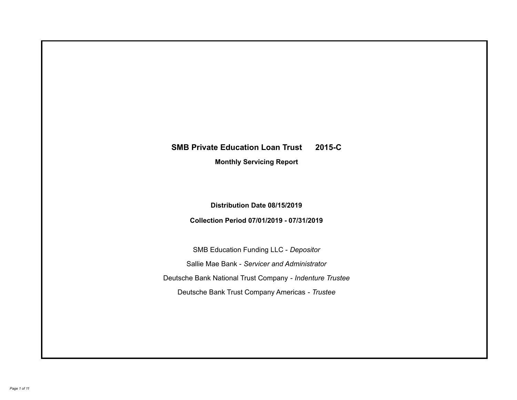# **SMB Private Education Loan Trust 2015-C Monthly Servicing Report**

# **Distribution Date 08/15/2019**

# **Collection Period 07/01/2019 - 07/31/2019**

SMB Education Funding LLC - *Depositor* Sallie Mae Bank - *Servicer and Administrator* Deutsche Bank National Trust Company - *Indenture Trustee* Deutsche Bank Trust Company Americas - *Trustee*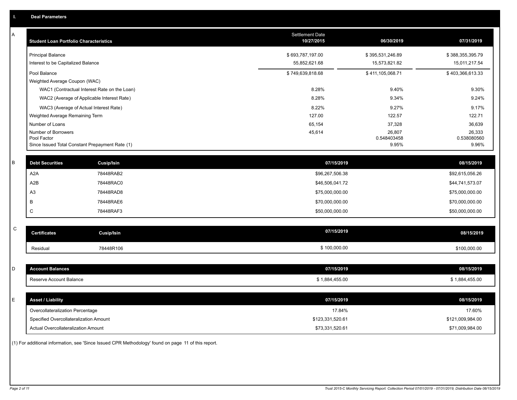| A           | <b>Student Loan Portfolio Characteristics</b>   |                   | Settlement Date<br>10/27/2015 | 06/30/2019       | 07/31/2019       |
|-------------|-------------------------------------------------|-------------------|-------------------------------|------------------|------------------|
|             | <b>Principal Balance</b>                        |                   | \$693,787,197.00              | \$395,531,246.89 | \$388,355,395.79 |
|             | Interest to be Capitalized Balance              |                   | 55,852,621.68                 | 15,573,821.82    | 15,011,217.54    |
|             | Pool Balance                                    |                   | \$749,639,818.68              | \$411,105,068.71 | \$403,366,613.33 |
|             | Weighted Average Coupon (WAC)                   |                   |                               |                  |                  |
|             | WAC1 (Contractual Interest Rate on the Loan)    |                   | 8.28%                         | 9.40%            | 9.30%            |
|             | WAC2 (Average of Applicable Interest Rate)      |                   | 8.28%                         | 9.34%            | 9.24%            |
|             | WAC3 (Average of Actual Interest Rate)          |                   | 8.22%                         | 9.27%            | 9.17%            |
|             | Weighted Average Remaining Term                 |                   | 127.00                        | 122.57           | 122.71           |
|             | Number of Loans<br>Number of Borrowers          |                   | 65,154<br>45,614              | 37,328<br>26,807 | 36,639<br>26,333 |
|             | Pool Factor                                     |                   |                               | 0.548403458      | 0.538080560      |
|             | Since Issued Total Constant Prepayment Rate (1) |                   |                               | 9.95%            | 9.96%            |
| $\sf B$     | <b>Debt Securities</b>                          | <b>Cusip/Isin</b> | 07/15/2019                    |                  | 08/15/2019       |
|             | A <sub>2</sub> A                                | 78448RAB2         | \$96,267,506.38               |                  | \$92,615,056.26  |
|             | A2B                                             | 78448RAC0         | \$46,506,041.72               |                  | \$44,741,573.07  |
|             | A <sub>3</sub>                                  | 78448RAD8         |                               |                  |                  |
|             | B                                               | 78448RAE6         | \$75,000,000.00               |                  | \$75,000,000.00  |
|             |                                                 |                   | \$70,000,000.00               |                  | \$70,000,000.00  |
|             | C                                               | 78448RAF3         | \$50,000,000.00               |                  | \$50,000,000.00  |
| $\mathsf C$ | <b>Certificates</b>                             | <b>Cusip/Isin</b> | 07/15/2019                    |                  | 08/15/2019       |
|             |                                                 |                   |                               |                  |                  |
|             | Residual                                        | 78448R106         | \$100,000.00                  |                  | \$100,000.00     |
|             |                                                 |                   |                               |                  |                  |
| D           | <b>Account Balances</b>                         |                   | 07/15/2019                    |                  | 08/15/2019       |
|             | Reserve Account Balance                         |                   | \$1,884,455.00                |                  | \$1,884,455.00   |
|             |                                                 |                   |                               |                  |                  |
| Е           | <b>Asset / Liability</b>                        |                   | 07/15/2019                    |                  | 08/15/2019       |
|             | Overcollateralization Percentage                |                   | 17.84%                        |                  | 17.60%           |
|             | Specified Overcollateralization Amount          |                   | \$123,331,520.61              |                  | \$121,009,984.00 |
|             | <b>Actual Overcollateralization Amount</b>      |                   | \$73,331,520.61               |                  | \$71,009,984.00  |

(1) For additional information, see 'Since Issued CPR Methodology' found on page 11 of this report.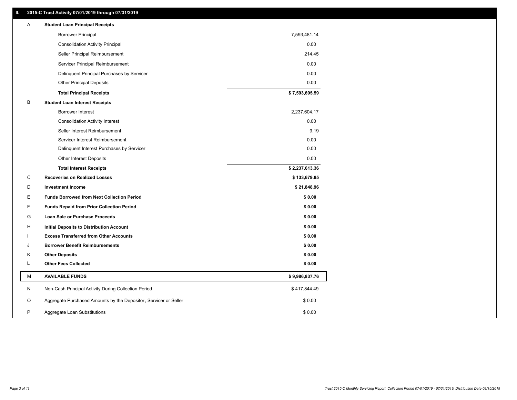### **II. 2015-C Trust Activity 07/01/2019 through 07/31/2019**

| <b>Borrower Principal</b><br>7,593,481.14<br>0.00<br><b>Consolidation Activity Principal</b><br>Seller Principal Reimbursement<br>214.45<br>0.00<br>Servicer Principal Reimbursement<br>0.00<br>Delinquent Principal Purchases by Servicer<br>0.00<br><b>Other Principal Deposits</b><br>\$7,593,695.59<br><b>Total Principal Receipts</b><br>B<br><b>Student Loan Interest Receipts</b><br>2,237,604.17<br><b>Borrower Interest</b> |  |
|--------------------------------------------------------------------------------------------------------------------------------------------------------------------------------------------------------------------------------------------------------------------------------------------------------------------------------------------------------------------------------------------------------------------------------------|--|
|                                                                                                                                                                                                                                                                                                                                                                                                                                      |  |
|                                                                                                                                                                                                                                                                                                                                                                                                                                      |  |
|                                                                                                                                                                                                                                                                                                                                                                                                                                      |  |
|                                                                                                                                                                                                                                                                                                                                                                                                                                      |  |
|                                                                                                                                                                                                                                                                                                                                                                                                                                      |  |
|                                                                                                                                                                                                                                                                                                                                                                                                                                      |  |
|                                                                                                                                                                                                                                                                                                                                                                                                                                      |  |
|                                                                                                                                                                                                                                                                                                                                                                                                                                      |  |
|                                                                                                                                                                                                                                                                                                                                                                                                                                      |  |
| 0.00<br><b>Consolidation Activity Interest</b>                                                                                                                                                                                                                                                                                                                                                                                       |  |
| 9.19<br>Seller Interest Reimbursement                                                                                                                                                                                                                                                                                                                                                                                                |  |
| 0.00<br>Servicer Interest Reimbursement                                                                                                                                                                                                                                                                                                                                                                                              |  |
| Delinquent Interest Purchases by Servicer<br>0.00                                                                                                                                                                                                                                                                                                                                                                                    |  |
| 0.00<br>Other Interest Deposits                                                                                                                                                                                                                                                                                                                                                                                                      |  |
| \$2,237,613.36<br><b>Total Interest Receipts</b>                                                                                                                                                                                                                                                                                                                                                                                     |  |
| C<br><b>Recoveries on Realized Losses</b><br>\$133,679.85                                                                                                                                                                                                                                                                                                                                                                            |  |
| D<br><b>Investment Income</b><br>\$21,848.96                                                                                                                                                                                                                                                                                                                                                                                         |  |
| E<br><b>Funds Borrowed from Next Collection Period</b><br>\$0.00                                                                                                                                                                                                                                                                                                                                                                     |  |
| F<br>\$0.00<br><b>Funds Repaid from Prior Collection Period</b>                                                                                                                                                                                                                                                                                                                                                                      |  |
| \$0.00<br>G<br>Loan Sale or Purchase Proceeds                                                                                                                                                                                                                                                                                                                                                                                        |  |
| \$0.00<br>н<br>Initial Deposits to Distribution Account                                                                                                                                                                                                                                                                                                                                                                              |  |
| <b>Excess Transferred from Other Accounts</b><br>\$0.00                                                                                                                                                                                                                                                                                                                                                                              |  |
| <b>Borrower Benefit Reimbursements</b><br>\$0.00<br>J                                                                                                                                                                                                                                                                                                                                                                                |  |
| \$0.00<br>Κ<br><b>Other Deposits</b>                                                                                                                                                                                                                                                                                                                                                                                                 |  |
| L<br><b>Other Fees Collected</b><br>\$0.00                                                                                                                                                                                                                                                                                                                                                                                           |  |
| М<br><b>AVAILABLE FUNDS</b><br>\$9,986,837.76                                                                                                                                                                                                                                                                                                                                                                                        |  |
| Non-Cash Principal Activity During Collection Period<br>\$417,844.49<br>N                                                                                                                                                                                                                                                                                                                                                            |  |
| O<br>Aggregate Purchased Amounts by the Depositor, Servicer or Seller<br>\$0.00                                                                                                                                                                                                                                                                                                                                                      |  |
| P<br>\$0.00<br>Aggregate Loan Substitutions                                                                                                                                                                                                                                                                                                                                                                                          |  |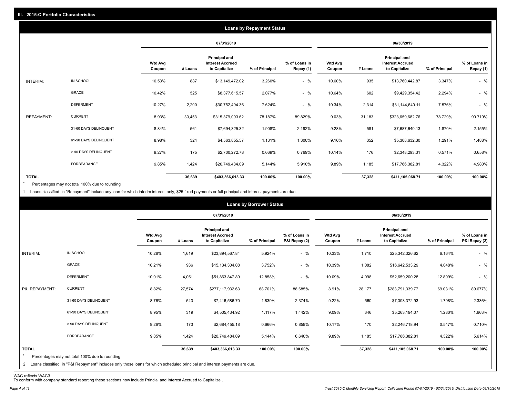|                   |                       |                          |         |                                                                  | <b>Loans by Repayment Status</b> |                            |                          |         |                                                           |                |                            |
|-------------------|-----------------------|--------------------------|---------|------------------------------------------------------------------|----------------------------------|----------------------------|--------------------------|---------|-----------------------------------------------------------|----------------|----------------------------|
|                   |                       |                          |         | 07/31/2019                                                       |                                  |                            |                          |         | 06/30/2019                                                |                |                            |
|                   |                       | <b>Wtd Avg</b><br>Coupon | # Loans | <b>Principal and</b><br><b>Interest Accrued</b><br>to Capitalize | % of Principal                   | % of Loans in<br>Repay (1) | <b>Wtd Avg</b><br>Coupon | # Loans | Principal and<br><b>Interest Accrued</b><br>to Capitalize | % of Principal | % of Loans in<br>Repay (1) |
| INTERIM:          | IN SCHOOL             | 10.53%                   | 887     | \$13,149,472.02                                                  | 3.260%                           | $-$ %                      | 10.60%                   | 935     | \$13,760,442.87                                           | 3.347%         | $-$ %                      |
|                   | <b>GRACE</b>          | 10.42%                   | 525     | \$8,377,615.57                                                   | 2.077%                           | $-$ %                      | 10.64%                   | 602     | \$9,429,354.42                                            | 2.294%         | $-$ %                      |
|                   | <b>DEFERMENT</b>      | 10.27%                   | 2,290   | \$30,752,494.36                                                  | 7.624%                           | $-$ %                      | 10.34%                   | 2,314   | \$31,144,640.11                                           | 7.576%         | $-$ %                      |
| <b>REPAYMENT:</b> | <b>CURRENT</b>        | 8.93%                    | 30,453  | \$315,379,093.62                                                 | 78.187%                          | 89.829%                    | 9.03%                    | 31,183  | \$323,659,682.76                                          | 78.729%        | 90.719%                    |
|                   | 31-60 DAYS DELINQUENT | 8.84%                    | 561     | \$7,694,325.32                                                   | 1.908%                           | 2.192%                     | 9.28%                    | 581     | \$7,687,640.13                                            | 1.870%         | 2.155%                     |
|                   | 61-90 DAYS DELINQUENT | 8.98%                    | 324     | \$4,563,855.57                                                   | 1.131%                           | 1.300%                     | 9.10%                    | 352     | \$5,308,632.30                                            | 1.291%         | 1.488%                     |
|                   | > 90 DAYS DELINQUENT  | 9.27%                    | 175     | \$2,700,272.78                                                   | 0.669%                           | 0.769%                     | 10.14%                   | 176     | \$2,348,293.31                                            | 0.571%         | 0.658%                     |
|                   | FORBEARANCE           | 9.85%                    | 1,424   | \$20,749,484.09                                                  | 5.144%                           | 5.910%                     | 9.89%                    | 1,185   | \$17,766,382.81                                           | 4.322%         | 4.980%                     |
| <b>TOTAL</b>      |                       |                          | 36,639  | \$403,366,613.33                                                 | 100.00%                          | 100.00%                    |                          | 37,328  | \$411,105,068.71                                          | 100.00%        | 100.00%                    |

Percentages may not total 100% due to rounding  $\star$ 

1 Loans classified in "Repayment" include any loan for which interim interest only, \$25 fixed payments or full principal and interest payments are due.

|                                                                                                                                                                                                           |                          |         | 07/31/2019                                                |                |                                |                          |         |                                                                  |                |                                |
|-----------------------------------------------------------------------------------------------------------------------------------------------------------------------------------------------------------|--------------------------|---------|-----------------------------------------------------------|----------------|--------------------------------|--------------------------|---------|------------------------------------------------------------------|----------------|--------------------------------|
|                                                                                                                                                                                                           |                          |         |                                                           |                |                                |                          |         | 06/30/2019                                                       |                |                                |
|                                                                                                                                                                                                           | <b>Wtd Avg</b><br>Coupon | # Loans | Principal and<br><b>Interest Accrued</b><br>to Capitalize | % of Principal | % of Loans in<br>P&I Repay (2) | <b>Wtd Avg</b><br>Coupon | # Loans | <b>Principal and</b><br><b>Interest Accrued</b><br>to Capitalize | % of Principal | % of Loans in<br>P&I Repay (2) |
| INTERIM:<br>IN SCHOOL                                                                                                                                                                                     | 10.28%                   | 1,619   | \$23,894,567.84                                           | 5.924%         | $-$ %                          | 10.33%                   | 1,710   | \$25,342,326.62                                                  | 6.164%         | $-$ %                          |
| <b>GRACE</b>                                                                                                                                                                                              | 10.21%                   | 936     | \$15,134,304.08                                           | 3.752%         | $-$ %                          | 10.39%                   | 1,082   | \$16,642,533.29                                                  | 4.048%         | $-$ %                          |
| <b>DEFERMENT</b>                                                                                                                                                                                          | 10.01%                   | 4,051   | \$51,863,847.89                                           | 12.858%        | $-$ %                          | 10.09%                   | 4,098   | \$52,659,200.28                                                  | 12.809%        | $-$ %                          |
| <b>CURRENT</b><br>P&I REPAYMENT:                                                                                                                                                                          | 8.82%                    | 27,574  | \$277,117,932.63                                          | 68.701%        | 88.685%                        | 8.91%                    | 28,177  | \$283,791,339.77                                                 | 69.031%        | 89.677%                        |
| 31-60 DAYS DELINQUENT                                                                                                                                                                                     | 8.76%                    | 543     | \$7,416,586.70                                            | 1.839%         | 2.374%                         | 9.22%                    | 560     | \$7,393,372.93                                                   | 1.798%         | 2.336%                         |
| 61-90 DAYS DELINQUENT                                                                                                                                                                                     | 8.95%                    | 319     | \$4,505,434.92                                            | 1.117%         | 1.442%                         | 9.09%                    | 346     | \$5,263,194.07                                                   | 1.280%         | 1.663%                         |
| > 90 DAYS DELINQUENT                                                                                                                                                                                      | 9.26%                    | 173     | \$2,684,455.18                                            | 0.666%         | 0.859%                         | 10.17%                   | 170     | \$2,246,718.94                                                   | 0.547%         | 0.710%                         |
| FORBEARANCE                                                                                                                                                                                               | 9.85%                    | 1,424   | \$20,749,484.09                                           | 5.144%         | 6.640%                         | 9.89%                    | 1,185   | \$17,766,382.81                                                  | 4.322%         | 5.614%                         |
| <b>TOTAL</b><br>$\star$<br>Percentages may not total 100% due to rounding<br>2 Loans classified in "P&I Repayment" includes only those loans for which scheduled principal and interest payments are due. |                          | 36,639  | \$403,366,613.33                                          | 100.00%        | 100.00%                        |                          | 37,328  | \$411,105,068.71                                                 | 100.00%        | 100.00%                        |

WAC reflects WAC3 To conform with company standard reporting these sections now include Princial and Interest Accrued to Capitalize .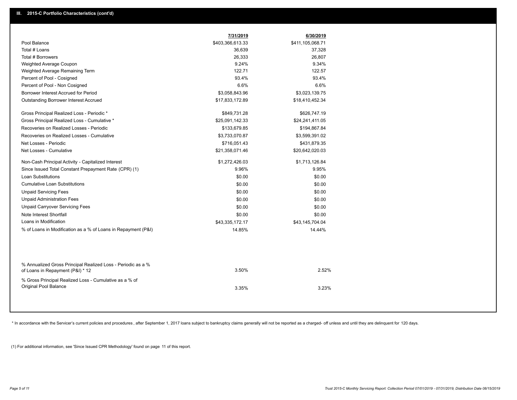|                                                                                                  | 7/31/2019        | 6/30/2019        |
|--------------------------------------------------------------------------------------------------|------------------|------------------|
| Pool Balance                                                                                     | \$403,366,613.33 | \$411,105,068.71 |
| Total # Loans                                                                                    | 36,639           | 37,328           |
| Total # Borrowers                                                                                | 26,333           | 26,807           |
| Weighted Average Coupon                                                                          | 9.24%            | 9.34%            |
| Weighted Average Remaining Term                                                                  | 122.71           | 122.57           |
| Percent of Pool - Cosigned                                                                       | 93.4%            | 93.4%            |
| Percent of Pool - Non Cosigned                                                                   | 6.6%             | 6.6%             |
| Borrower Interest Accrued for Period                                                             | \$3,058,843.96   | \$3,023,139.75   |
| Outstanding Borrower Interest Accrued                                                            | \$17,833,172.89  | \$18,410,452.34  |
| Gross Principal Realized Loss - Periodic *                                                       | \$849,731.28     | \$626,747.19     |
| Gross Principal Realized Loss - Cumulative *                                                     | \$25,091,142.33  | \$24,241,411.05  |
| Recoveries on Realized Losses - Periodic                                                         | \$133,679.85     | \$194,867.84     |
| Recoveries on Realized Losses - Cumulative                                                       | \$3,733,070.87   | \$3,599,391.02   |
| Net Losses - Periodic                                                                            | \$716,051.43     | \$431,879.35     |
| Net Losses - Cumulative                                                                          | \$21,358,071.46  | \$20,642,020.03  |
| Non-Cash Principal Activity - Capitalized Interest                                               | \$1,272,426.03   | \$1,713,126.84   |
| Since Issued Total Constant Prepayment Rate (CPR) (1)                                            | 9.96%            | 9.95%            |
| Loan Substitutions                                                                               | \$0.00           | \$0.00           |
| <b>Cumulative Loan Substitutions</b>                                                             | \$0.00           | \$0.00           |
| <b>Unpaid Servicing Fees</b>                                                                     | \$0.00           | \$0.00           |
| <b>Unpaid Administration Fees</b>                                                                | \$0.00           | \$0.00           |
| <b>Unpaid Carryover Servicing Fees</b>                                                           | \$0.00           | \$0.00           |
| Note Interest Shortfall                                                                          | \$0.00           | \$0.00           |
| Loans in Modification                                                                            | \$43,335,172.17  | \$43,145,704.04  |
| % of Loans in Modification as a % of Loans in Repayment (P&I)                                    | 14.85%           | 14.44%           |
|                                                                                                  |                  |                  |
| % Annualized Gross Principal Realized Loss - Periodic as a %<br>of Loans in Repayment (P&I) * 12 | 3.50%            | 2.52%            |
| % Gross Principal Realized Loss - Cumulative as a % of                                           |                  |                  |
| Original Pool Balance                                                                            | 3.35%            | 3.23%            |
|                                                                                                  |                  |                  |

\* In accordance with the Servicer's current policies and procedures, after September 1, 2017 loans subject to bankruptcy claims generally will not be reported as a charged- off unless and until they are delinquent for 120

(1) For additional information, see 'Since Issued CPR Methodology' found on page 11 of this report.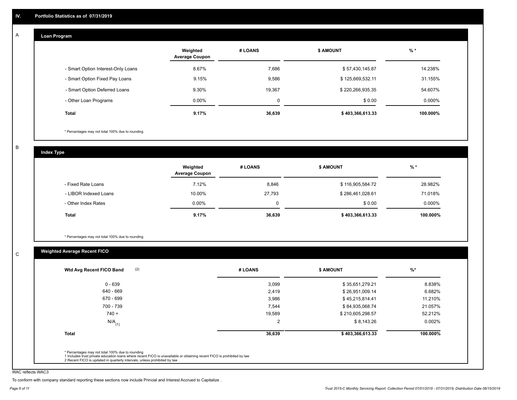#### **Loan Program**  A

|                                    | Weighted<br><b>Average Coupon</b> | # LOANS | <b>\$ AMOUNT</b> | $%$ *    |
|------------------------------------|-----------------------------------|---------|------------------|----------|
| - Smart Option Interest-Only Loans | 8.67%                             | 7,686   | \$57,430,145.87  | 14.238%  |
| - Smart Option Fixed Pay Loans     | 9.15%                             | 9,586   | \$125,669,532.11 | 31.155%  |
| - Smart Option Deferred Loans      | 9.30%                             | 19.367  | \$220,266,935.35 | 54.607%  |
| - Other Loan Programs              | $0.00\%$                          | 0       | \$0.00           | 0.000%   |
| <b>Total</b>                       | 9.17%                             | 36,639  | \$403,366,613.33 | 100.000% |

\* Percentages may not total 100% due to rounding

B

C

**Index Type**

|                       | Weighted<br><b>Average Coupon</b> | # LOANS | \$ AMOUNT        | $%$ *     |
|-----------------------|-----------------------------------|---------|------------------|-----------|
| - Fixed Rate Loans    | 7.12%                             | 8,846   | \$116,905,584.72 | 28.982%   |
| - LIBOR Indexed Loans | 10.00%                            | 27,793  | \$286,461,028.61 | 71.018%   |
| - Other Index Rates   | $0.00\%$                          | 0       | \$0.00           | $0.000\%$ |
| <b>Total</b>          | 9.17%                             | 36,639  | \$403,366,613.33 | 100.000%  |

\* Percentages may not total 100% due to rounding

# **Weighted Average Recent FICO**

|                      |        |                  | $%$ *     |
|----------------------|--------|------------------|-----------|
| $0 - 639$            | 3,099  | \$35,651,279.21  | 8.838%    |
| 640 - 669            | 2,419  | \$26,951,009.14  | 6.682%    |
| 670 - 699            | 3,986  | \$45,215,814.41  | 11.210%   |
| 700 - 739            | 7,544  | \$84,935,068.74  | 21.057%   |
| $740 +$              | 19,589 | \$210,605,298.57 | 52.212%   |
| $N/A$ <sub>(1)</sub> | 2      | \$8,143.26       | $0.002\%$ |
| <b>Total</b>         | 36,639 | \$403,366,613.33 | 100.000%  |

WAC reflects WAC3

To conform with company standard reporting these sections now include Princial and Interest Accrued to Capitalize .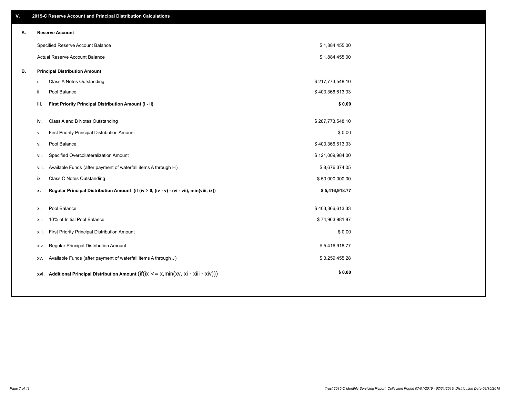| V. |       | 2015-C Reserve Account and Principal Distribution Calculations                             |                  |  |
|----|-------|--------------------------------------------------------------------------------------------|------------------|--|
| А. |       | <b>Reserve Account</b>                                                                     |                  |  |
|    |       | Specified Reserve Account Balance                                                          | \$1,884,455.00   |  |
|    |       | Actual Reserve Account Balance                                                             | \$1,884,455.00   |  |
| В. |       | <b>Principal Distribution Amount</b>                                                       |                  |  |
|    | i.    | Class A Notes Outstanding                                                                  | \$217,773,548.10 |  |
|    | ii.   | Pool Balance                                                                               | \$403,366,613.33 |  |
|    | iii.  | First Priority Principal Distribution Amount (i - ii)                                      | \$0.00           |  |
|    | iv.   | Class A and B Notes Outstanding                                                            | \$287,773,548.10 |  |
|    | v.    | First Priority Principal Distribution Amount                                               | \$0.00           |  |
|    | vi.   | Pool Balance                                                                               | \$403,366,613.33 |  |
|    | vii.  | Specified Overcollateralization Amount                                                     | \$121,009,984.00 |  |
|    | viii. | Available Funds (after payment of waterfall items A through H)                             | \$8,676,374.05   |  |
|    | ix.   | <b>Class C Notes Outstanding</b>                                                           | \$50,000,000.00  |  |
|    | x.    | Regular Principal Distribution Amount (if (iv > 0, (iv - v) - (vi - vii), min(viii, ix))   | \$5,416,918.77   |  |
|    |       |                                                                                            |                  |  |
|    | xi.   | Pool Balance                                                                               | \$403,366,613.33 |  |
|    | xii.  | 10% of Initial Pool Balance                                                                | \$74,963,981.87  |  |
|    | xiii. | First Priority Principal Distribution Amount                                               | \$0.00           |  |
|    | XIV.  | Regular Principal Distribution Amount                                                      | \$5,416,918.77   |  |
|    | XV.   | Available Funds (after payment of waterfall items A through J)                             | \$3,259,455.28   |  |
|    |       | xvi. Additional Principal Distribution Amount (if(ix $\lt$ = x, min(xv, xi - xiii - xiv))) | \$0.00           |  |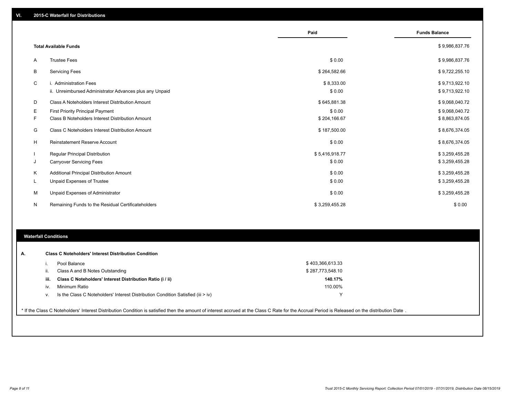|    |                                                         | Paid           | <b>Funds Balance</b> |
|----|---------------------------------------------------------|----------------|----------------------|
|    | <b>Total Available Funds</b>                            |                | \$9,986,837.76       |
| Α  | <b>Trustee Fees</b>                                     | \$0.00         | \$9,986,837.76       |
| В  | <b>Servicing Fees</b>                                   | \$264,582.66   | \$9,722,255.10       |
| C  | i. Administration Fees                                  | \$8,333.00     | \$9,713,922.10       |
|    | ii. Unreimbursed Administrator Advances plus any Unpaid | \$0.00         | \$9,713,922.10       |
| D  | Class A Noteholders Interest Distribution Amount        | \$645,881.38   | \$9,068,040.72       |
| Е  | First Priority Principal Payment                        | \$0.00         | \$9,068,040.72       |
| F. | Class B Noteholders Interest Distribution Amount        | \$204,166.67   | \$8,863,874.05       |
| G  | Class C Noteholders Interest Distribution Amount        | \$187,500.00   | \$8,676,374.05       |
| H  | Reinstatement Reserve Account                           | \$0.00         | \$8,676,374.05       |
|    | Regular Principal Distribution                          | \$5,416,918.77 | \$3,259,455.28       |
| J  | <b>Carryover Servicing Fees</b>                         | \$0.00         | \$3,259,455.28       |
| Κ  | Additional Principal Distribution Amount                | \$0.00         | \$3,259,455.28       |
| L  | Unpaid Expenses of Trustee                              | \$0.00         | \$3,259,455.28       |
| м  | Unpaid Expenses of Administrator                        | \$0.00         | \$3,259,455.28       |
| N  | Remaining Funds to the Residual Certificateholders      | \$3,259,455.28 | \$0.00               |

#### **Waterfall Conditions**

|      | Pool Balance                                                                       | \$403,366,613.33 |  |
|------|------------------------------------------------------------------------------------|------------------|--|
| ii.  | Class A and B Notes Outstanding                                                    | \$287,773,548.10 |  |
| iii. | Class C Noteholders' Interest Distribution Ratio (i / ii)                          | 140.17%          |  |
| iv.  | Minimum Ratio                                                                      | 110.00%          |  |
| ν.   | Is the Class C Noteholders' Interest Distribution Condition Satisfied (iii $>$ iv) |                  |  |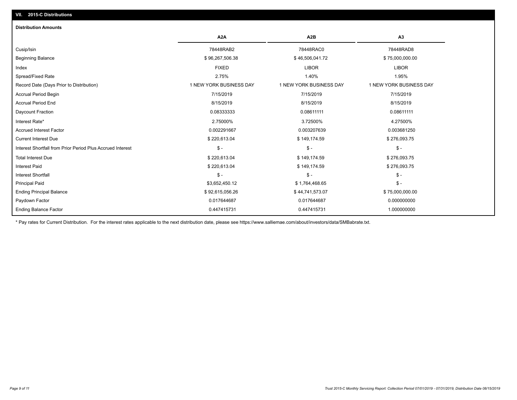## **VII. 2015-C Distributions**

| <b>Distribution Amounts</b>                                |                         |                         |                         |
|------------------------------------------------------------|-------------------------|-------------------------|-------------------------|
|                                                            | A <sub>2</sub> A        | A <sub>2</sub> B        | A <sub>3</sub>          |
| Cusip/Isin                                                 | 78448RAB2               | 78448RAC0               | 78448RAD8               |
| <b>Beginning Balance</b>                                   | \$96,267,506.38         | \$46,506,041.72         | \$75,000,000.00         |
| Index                                                      | <b>FIXED</b>            | <b>LIBOR</b>            | <b>LIBOR</b>            |
| Spread/Fixed Rate                                          | 2.75%                   | 1.40%                   | 1.95%                   |
| Record Date (Days Prior to Distribution)                   | 1 NEW YORK BUSINESS DAY | 1 NEW YORK BUSINESS DAY | 1 NEW YORK BUSINESS DAY |
| <b>Accrual Period Begin</b>                                | 7/15/2019               | 7/15/2019               | 7/15/2019               |
| <b>Accrual Period End</b>                                  | 8/15/2019               | 8/15/2019               | 8/15/2019               |
| Daycount Fraction                                          | 0.08333333              | 0.08611111              | 0.08611111              |
| Interest Rate*                                             | 2.75000%                | 3.72500%                | 4.27500%                |
| <b>Accrued Interest Factor</b>                             | 0.002291667             | 0.003207639             | 0.003681250             |
| <b>Current Interest Due</b>                                | \$220,613.04            | \$149,174.59            | \$276,093.75            |
| Interest Shortfall from Prior Period Plus Accrued Interest | $\mathsf{\$}$ -         | $\frac{1}{2}$           | $\frac{1}{2}$           |
| <b>Total Interest Due</b>                                  | \$220,613.04            | \$149,174.59            | \$276,093.75            |
| <b>Interest Paid</b>                                       | \$220,613.04            | \$149,174.59            | \$276,093.75            |
| Interest Shortfall                                         | $\mathsf{\$}$ -         | $\mathsf{\$}$ -         | $\mathsf{\$}$ -         |
| <b>Principal Paid</b>                                      | \$3,652,450.12          | \$1,764,468.65          | $\mathsf{\$}$ -         |
| <b>Ending Principal Balance</b>                            | \$92,615,056.26         | \$44,741,573.07         | \$75,000,000.00         |
| Paydown Factor                                             | 0.017644687             | 0.017644687             | 0.000000000             |
| <b>Ending Balance Factor</b>                               | 0.447415731             | 0.447415731             | 1.000000000             |

\* Pay rates for Current Distribution. For the interest rates applicable to the next distribution date, please see https://www.salliemae.com/about/investors/data/SMBabrate.txt.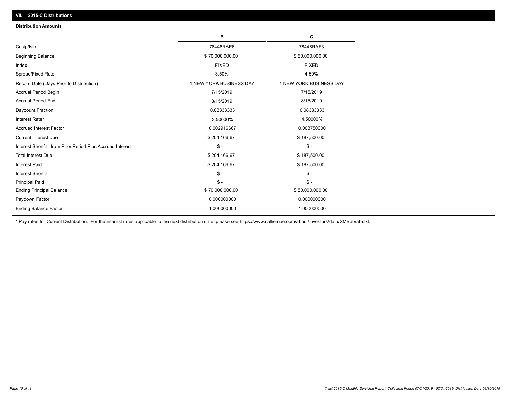| <b>Distribution Amounts</b>                                |                         |                         |
|------------------------------------------------------------|-------------------------|-------------------------|
|                                                            | в                       | С                       |
| Cusip/Isin                                                 | 78448RAE6               | 78448RAF3               |
| <b>Beginning Balance</b>                                   | \$70,000,000.00         | \$50,000,000.00         |
| Index                                                      | <b>FIXED</b>            | <b>FIXED</b>            |
| Spread/Fixed Rate                                          | 3.50%                   | 4.50%                   |
| Record Date (Days Prior to Distribution)                   | 1 NEW YORK BUSINESS DAY | 1 NEW YORK BUSINESS DAY |
| <b>Accrual Period Begin</b>                                | 7/15/2019               | 7/15/2019               |
| <b>Accrual Period End</b>                                  | 8/15/2019               | 8/15/2019               |
| Daycount Fraction                                          | 0.08333333              | 0.08333333              |
| Interest Rate*                                             | 3.50000%                | 4.50000%                |
| <b>Accrued Interest Factor</b>                             | 0.002916667             | 0.003750000             |
| <b>Current Interest Due</b>                                | \$204,166.67            | \$187,500.00            |
| Interest Shortfall from Prior Period Plus Accrued Interest | $\mathsf{\$}$ -         | $\frac{1}{2}$           |
| <b>Total Interest Due</b>                                  | \$204,166.67            | \$187,500.00            |
| <b>Interest Paid</b>                                       | \$204,166.67            | \$187,500.00            |
| <b>Interest Shortfall</b>                                  | $\mathsf{\$}$ -         | $\frac{1}{2}$           |
| <b>Principal Paid</b>                                      | $\mathbb{S}$ -          | $\mathsf{\$}$ -         |
| <b>Ending Principal Balance</b>                            | \$70,000,000.00         | \$50,000,000.00         |
| Paydown Factor                                             | 0.000000000             | 0.000000000             |
| <b>Ending Balance Factor</b>                               | 1.000000000             | 1.000000000             |

\* Pay rates for Current Distribution. For the interest rates applicable to the next distribution date, please see https://www.salliemae.com/about/investors/data/SMBabrate.txt.

**VII. 2015-C Distributions**